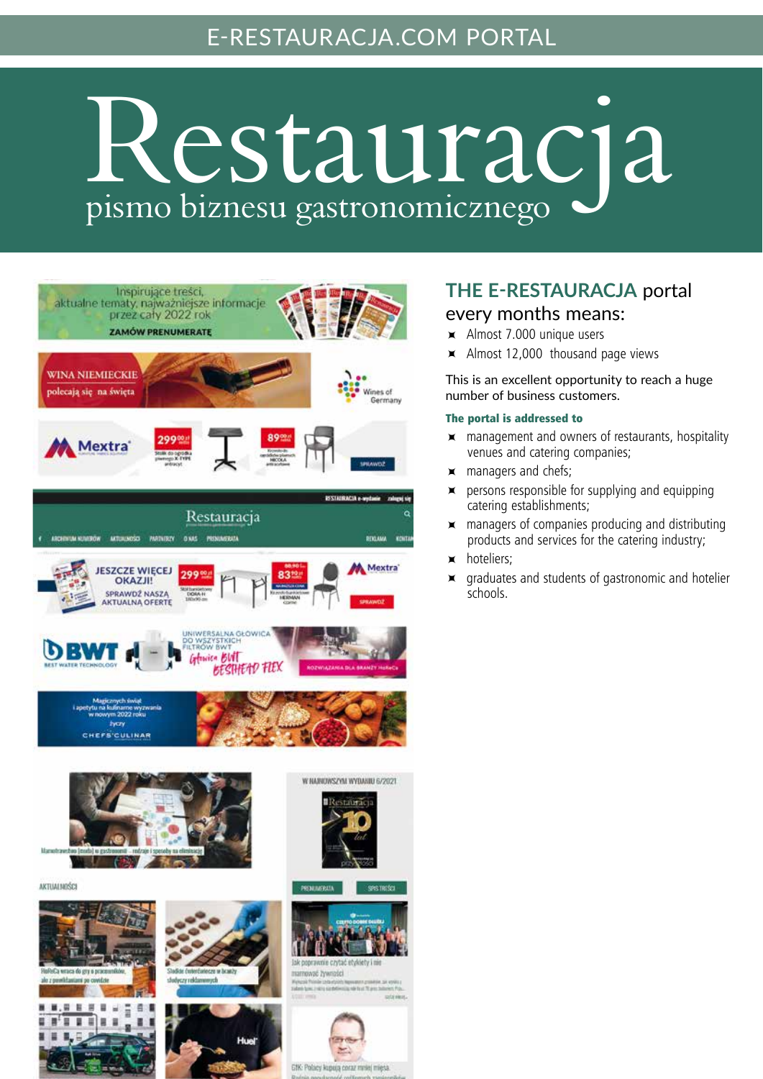## e-restauracja.com portal

# Restauracja pismo biznesu gastronomicznego



# **The E-RESTAURACJA** portal

#### every months means:

- Almost 7.000 unique users
- $\times$  Almost 12,000 thousand page views

This is an excellent opportunity to reach a huge number of business customers.

#### The portal is addressed to

- $\times$  management and owners of restaurants, hospitality venues and catering companies;
- $\times$  managers and chefs;
- $\times$  persons responsible for supplying and equipping catering establishments;
- $\times$  managers of companies producing and distributing products and services for the catering industry;
- hoteliers;
- graduates and students of gastronomic and hotelier schools.